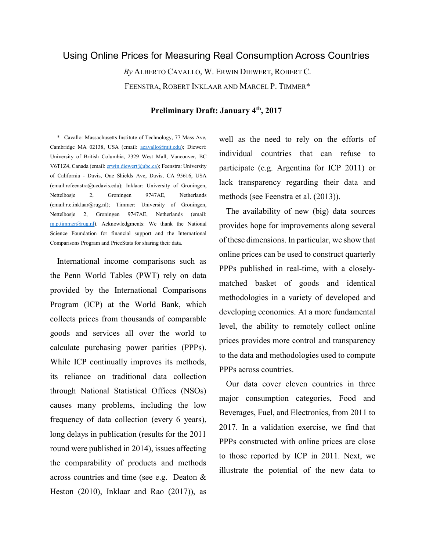# Using Online Prices for Measuring Real Consumption Across Countries

By ALBERTO CAVALLO, W. ERWIN DIEWERT, ROBERT C. FEENSTRA, ROBERT INKLAAR AND MARCEL P. TIMMER\*

# Preliminary Draft: January 4<sup>th</sup>, 2017

\* Cavallo: Massachusetts Institute of Technology, 77 Mass Ave, Cambridge MA 02138, USA (email: acavallo@mit.edu); Diewert: University of British Columbia, 2329 West Mall, Vancouver, BC V6T1Z4, Canada (email: erwin.diewert@ubc.ca); Feenstra: University of California - Davis, One Shields Ave, Davis, CA 95616, USA (email:rcfeenstra@ucdavis.edu); Inklaar: University of Groningen, Nettelbosje 2, Groningen 9747AE, Netherlands (email:r.c.inklaar@rug.nl); Timmer: University of Groningen, Nettelbosje 2, Groningen 9747AE, Netherlands (email:  $m.p.$ timmer@rug.nl). Acknowledgments: We thank the National Science Foundation for financial support and the International Comparisons Program and PriceStats for sharing their data.

International income comparisons such as the Penn World Tables (PWT) rely on data provided by the International Comparisons Program (ICP) at the World Bank, which collects prices from thousands of comparable goods and services all over the world to calculate purchasing power parities (PPPs). While ICP continually improves its methods, its reliance on traditional data collection through National Statistical Offices (NSOs) causes many problems, including the low frequency of data collection (every 6 years), long delays in publication (results for the 2011 round were published in 2014), issues affecting the comparability of products and methods across countries and time (see e.g. Deaton & Heston (2010), Inklaar and Rao (2017)), as

well as the need to rely on the efforts of individual countries that can refuse to participate (e.g. Argentina for ICP 2011) or lack transparency regarding their data and methods (see Feenstra et al. (2013)).

The availability of new (big) data sources provides hope for improvements along several of these dimensions. In particular, we show that online prices can be used to construct quarterly PPPs published in real-time, with a closelymatched basket of goods and identical methodologies in a variety of developed and developing economies. At a more fundamental level, the ability to remotely collect online prices provides more control and transparency to the data and methodologies used to compute PPPs across countries.

Our data cover eleven countries in three major consumption categories, Food and Beverages, Fuel, and Electronics, from 2011 to 2017. In a validation exercise, we find that PPPs constructed with online prices are close to those reported by ICP in 2011. Next, we illustrate the potential of the new data to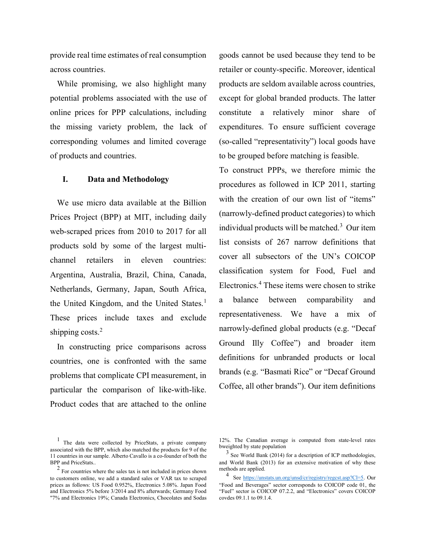provide real time estimates of real consumption across countries.

While promising, we also highlight many potential problems associated with the use of online prices for PPP calculations, including the missing variety problem, the lack of corresponding volumes and limited coverage of products and countries.

# I. Data and Methodology

We use micro data available at the Billion Prices Project (BPP) at MIT, including daily web-scraped prices from 2010 to 2017 for all products sold by some of the largest multichannel retailers in eleven countries: Argentina, Australia, Brazil, China, Canada, Netherlands, Germany, Japan, South Africa, the United Kingdom, and the United States.<sup>1</sup> These prices include taxes and exclude shipping costs. $2$ 

In constructing price comparisons across countries, one is confronted with the same problems that complicate CPI measurement, in particular the comparison of like-with-like. Product codes that are attached to the online

goods cannot be used because they tend to be retailer or county-specific. Moreover, identical products are seldom available across countries, except for global branded products. The latter constitute a relatively minor share of expenditures. To ensure sufficient coverage (so-called "representativity") local goods have to be grouped before matching is feasible.

To construct PPPs, we therefore mimic the procedures as followed in ICP 2011, starting with the creation of our own list of "items" (narrowly-defined product categories) to which individual products will be matched.<sup>3</sup> Our item list consists of 267 narrow definitions that cover all subsectors of the UN's COICOP classification system for Food, Fuel and Electronics.<sup>4</sup> These items were chosen to strike a balance between comparability and representativeness. We have a mix of narrowly-defined global products (e.g. "Decaf Ground Illy Coffee") and broader item definitions for unbranded products or local brands (e.g. "Basmati Rice" or "Decaf Ground Coffee, all other brands"). Our item definitions

<sup>1</sup> The data were collected by PriceStats, a private company associated with the BPP, which also matched the products for 9 of the 11 countries in our sample. Alberto Cavallo is a co-founder of both the BPP and PriceStats..

<sup>2</sup> For countries where the sales tax is not included in prices shown to customers online, we add a standard sales or VAR tax to scraped prices as follows: US Food 0.952%, Electronics 5.08%. Japan Food and Electronics 5% before 3/2014 and 8% afterwards; Germany Food "7% and Electronics 19%; Canada Electronics, Chocolates and Sodas

<sup>12%.</sup> The Canadian average is computed from state-level rates bweighted by state population

<sup>3</sup> See World Bank (2014) for a description of ICP methodologies, and World Bank (2013) for an extensive motivation of why these methods are applied.

<sup>4</sup> See https://unstats.un.org/unsd/cr/registry/regcst.asp?Cl=5. Our "Food and Beverages" sector corresponds to COICOP code 01, the "Fuel" sector is COICOP 07.2.2, and "Electronics" covers COICOP covdes 09.1.1 to 09.1.4.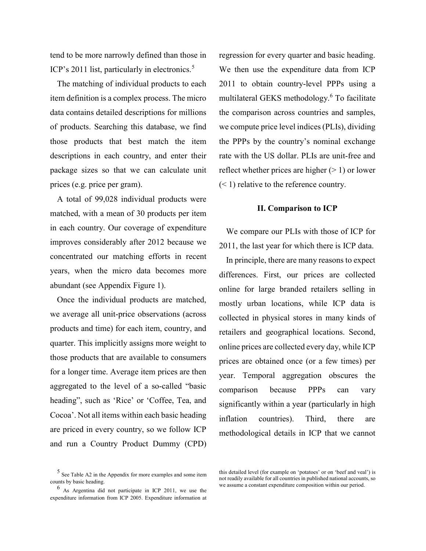tend to be more narrowly defined than those in ICP's 2011 list, particularly in electronics.<sup>5</sup>

The matching of individual products to each item definition is a complex process. The micro data contains detailed descriptions for millions of products. Searching this database, we find those products that best match the item descriptions in each country, and enter their package sizes so that we can calculate unit prices (e.g. price per gram).

A total of 99,028 individual products were matched, with a mean of 30 products per item in each country. Our coverage of expenditure improves considerably after 2012 because we concentrated our matching efforts in recent years, when the micro data becomes more abundant (see Appendix Figure 1).

Once the individual products are matched, we average all unit-price observations (across products and time) for each item, country, and quarter. This implicitly assigns more weight to those products that are available to consumers for a longer time. Average item prices are then aggregated to the level of a so-called "basic heading", such as 'Rice' or 'Coffee, Tea, and Cocoa'. Not all items within each basic heading are priced in every country, so we follow ICP and run a Country Product Dummy (CPD)

regression for every quarter and basic heading. We then use the expenditure data from ICP 2011 to obtain country-level PPPs using a multilateral GEKS methodology.<sup>6</sup> To facilitate the comparison across countries and samples, we compute price level indices (PLIs), dividing the PPPs by the country's nominal exchange rate with the US dollar. PLIs are unit-free and reflect whether prices are higher  $(> 1)$  or lower  $(< 1$ ) relative to the reference country.

# II. Comparison to ICP

We compare our PLIs with those of ICP for 2011, the last year for which there is ICP data.

In principle, there are many reasons to expect differences. First, our prices are collected online for large branded retailers selling in mostly urban locations, while ICP data is collected in physical stores in many kinds of retailers and geographical locations. Second, online prices are collected every day, while ICP prices are obtained once (or a few times) per year. Temporal aggregation obscures the comparison because PPPs can vary significantly within a year (particularly in high inflation countries). Third, there are methodological details in ICP that we cannot

<sup>5</sup> See Table A2 in the Appendix for more examples and some item counts by basic heading.

<sup>6</sup> As Argentina did not participate in ICP 2011, we use the expenditure information from ICP 2005. Expenditure information at

this detailed level (for example on 'potatoes' or on 'beef and veal') is not readily available for all countries in published national accounts, so we assume a constant expenditure composition within our period.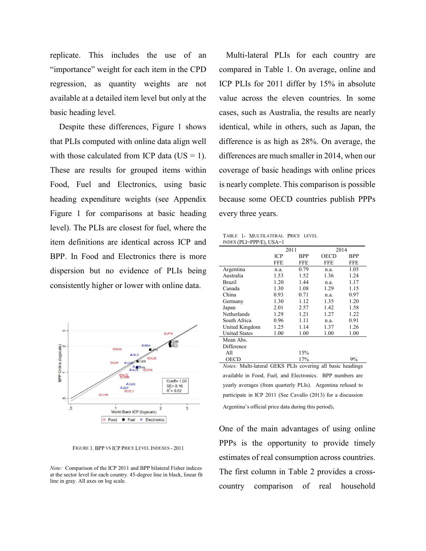replicate. This includes the use of an "importance" weight for each item in the CPD regression, as quantity weights are not available at a detailed item level but only at the basic heading level.

 Despite these differences, Figure 1 shows that PLIs computed with online data align well with those calculated from ICP data ( $US = 1$ ). These are results for grouped items within Food, Fuel and Electronics, using basic heading expenditure weights (see Appendix Figure 1 for comparisons at basic heading level). The PLIs are closest for fuel, where the item definitions are identical across ICP and BPP. In Food and Electronics there is more dispersion but no evidence of PLIs being consistently higher or lower with online data.



FIGURE 1. BPP VS ICP PRICE LEVEL INDEXES - 2011

Note: Comparison of the ICP 2011 and BPP bilateral Fisher indices at the sector level for each country. 45-degree line in black, linear fit line in gray. All axes on log scale.

Multi-lateral PLIs for each country are compared in Table 1. On average, online and ICP PLIs for 2011 differ by 15% in absolute value across the eleven countries. In some cases, such as Australia, the results are nearly identical, while in others, such as Japan, the difference is as high as 28%. On average, the differences are much smaller in 2014, when our coverage of basic headings with online prices is nearly complete. This comparison is possible because some OECD countries publish PPPs every three years.

| TABLE 1- MULTILATERAL PRICE LEVEL |  |  |
|-----------------------------------|--|--|
| $IDEX (PLI=PPP/E), USA=1$         |  |  |

| 2011       |            | 2014       |            |
|------------|------------|------------|------------|
| <b>ICP</b> | <b>BPP</b> | OECD       | BPP        |
| <b>FFE</b> | <b>FFE</b> | <b>FFE</b> | <b>FFE</b> |
| n.a.       | 0.79       | n.a.       | 1.05       |
| 1.53       | 1.52       | 1.36       | 1.24       |
| 1.20       | 1.44       | n.a.       | 1.17       |
| 1.30       | 1.08       | 1.29       | 1.15       |
| 0.93       | 0.71       | n.a.       | 0.97       |
| 1.30       | 1.12       | 1.35       | 1.20       |
| 2.01       | 2.57       | 1.42       | 1.58       |
| 1.29       | 1.21       | 1.27       | 1.22       |
| 0.96       | 1.11       | n.a.       | 0.91       |
| 1.25       | 1.14       | 1.37       | 1.26       |
| 1.00       | 1.00       | 1.00       | 1.00       |
|            |            |            |            |
|            |            |            |            |
|            | 15%        |            |            |
|            | 17%        |            | 9%         |
|            |            | ---------  | ٠.<br>.    |

Notes: Multi-lateral GEKS PLIs covering all basic headings available in Food, Fuel, and Electronics. BPP numbers are yearly averages (from quarterly PLIs). Argentina refused to participate in ICP 2011 (See Cavallo (2013) for a discussion

Argentina's official price data during this period).

One of the main advantages of using online PPPs is the opportunity to provide timely estimates of real consumption across countries. The first column in Table 2 provides a crosscountry comparison of real household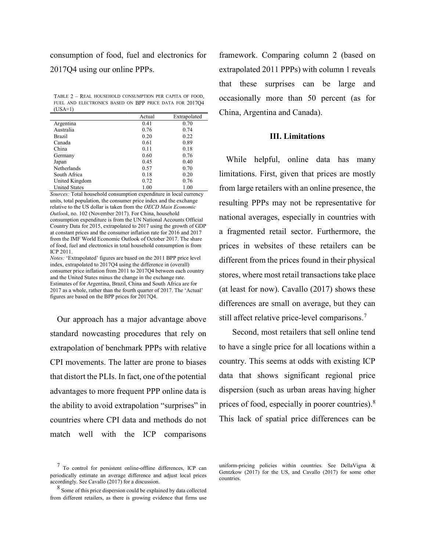consumption of food, fuel and electronics for 2017Q4 using our online PPPs.

TABLE 2 – REAL HOUSEHOLD CONSUMPTION PER CAPITA OF FOOD, FUEL AND ELECTRONICS BASED ON BPP PRICE DATA FOR 2017Q4  $(USA=1)$ 

|                      | Actual | Extrapolated |
|----------------------|--------|--------------|
| Argentina            | 0.41   | 0.70         |
| Australia            | 0.76   | 0.74         |
| <b>Brazil</b>        | 0.20   | 0.22         |
| Canada               | 0.61   | 0.89         |
| China                | 0.11   | 0.18         |
| Germany              | 0.60   | 0.76         |
| Japan                | 0.45   | 0.40         |
| Netherlands          | 0.57   | 0.70         |
| South Africa         | 0.18   | 0.20         |
| United Kingdom       | 0.72   | 0.76         |
| <b>United States</b> | 1.00   | 1.00         |

Sources: Total household consumption expenditure in local currency units, total population, the consumer price index and the exchange relative to the US dollar is taken from the OECD Main Economic Outlook, no. 102 (November 2017). For China, household consumption expenditure is from the UN National Accounts Official Country Data for 2015, extrapolated to 2017 using the growth of GDP at constant prices and the consumer inflation rate for 2016 and 2017 from the IMF World Economic Outlook of October 2017. The share of food, fuel and electronics in total household consumption is from ICP 2011.

Notes: 'Extrapolated' figures are based on the 2011 BPP price level index, extrapolated to 2017Q4 using the difference in (overall) consumer price inflation from 2011 to 2017Q4 between each country and the United States minus the change in the exchange rate. Estimates of for Argentina, Brazil, China and South Africa are for 2017 as a whole, rather than the fourth quarter of 2017. The 'Actual' figures are based on the BPP prices for 2017Q4.

Our approach has a major advantage above standard nowcasting procedures that rely on extrapolation of benchmark PPPs with relative CPI movements. The latter are prone to biases that distort the PLIs. In fact, one of the potential advantages to more frequent PPP online data is the ability to avoid extrapolation "surprises" in countries where CPI data and methods do not match well with the ICP comparisons

7 To control for persistent online-offline differences, ICP can periodically estimate an average difference and adjust local prices accordingly. See Cavallo (2017) for a discussion.

8 Some of this price dispersion could be explained by data collected from different retailers, as there is growing evidence that firms use

framework. Comparing column 2 (based on extrapolated 2011 PPPs) with column 1 reveals that these surprises can be large and occasionally more than 50 percent (as for China, Argentina and Canada).

## III. Limitations

While helpful, online data has many limitations. First, given that prices are mostly from large retailers with an online presence, the resulting PPPs may not be representative for national averages, especially in countries with a fragmented retail sector. Furthermore, the prices in websites of these retailers can be different from the prices found in their physical stores, where most retail transactions take place (at least for now). Cavallo (2017) shows these differences are small on average, but they can still affect relative price-level comparisons.<sup>7</sup>

 Second, most retailers that sell online tend to have a single price for all locations within a country. This seems at odds with existing ICP data that shows significant regional price dispersion (such as urban areas having higher prices of food, especially in poorer countries).<sup>8</sup> This lack of spatial price differences can be

uniform-pricing policies within countries. See DellaVigna & Gentzkow (2017) for the US, and Cavallo (2017) for some other countries.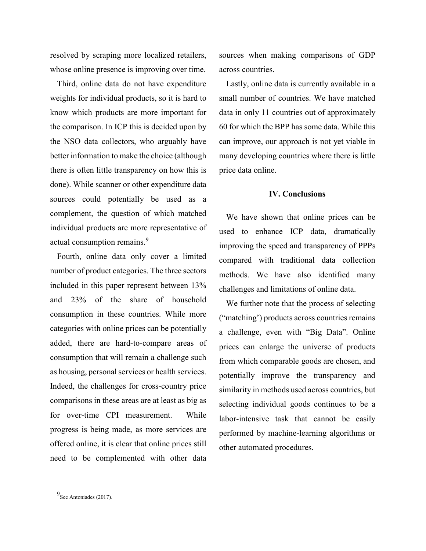resolved by scraping more localized retailers, whose online presence is improving over time.

Third, online data do not have expenditure weights for individual products, so it is hard to know which products are more important for the comparison. In ICP this is decided upon by the NSO data collectors, who arguably have better information to make the choice (although there is often little transparency on how this is done). While scanner or other expenditure data sources could potentially be used as a complement, the question of which matched individual products are more representative of actual consumption remains.<sup>9</sup>

Fourth, online data only cover a limited number of product categories. The three sectors included in this paper represent between 13% and 23% of the share of household consumption in these countries. While more categories with online prices can be potentially added, there are hard-to-compare areas of consumption that will remain a challenge such as housing, personal services or health services. Indeed, the challenges for cross-country price comparisons in these areas are at least as big as for over-time CPI measurement. While progress is being made, as more services are offered online, it is clear that online prices still need to be complemented with other data

sources when making comparisons of GDP across countries.

Lastly, online data is currently available in a small number of countries. We have matched data in only 11 countries out of approximately 60 for which the BPP has some data. While this can improve, our approach is not yet viable in many developing countries where there is little price data online.

## IV. Conclusions

We have shown that online prices can be used to enhance ICP data, dramatically improving the speed and transparency of PPPs compared with traditional data collection methods. We have also identified many challenges and limitations of online data.

We further note that the process of selecting ("matching') products across countries remains a challenge, even with "Big Data". Online prices can enlarge the universe of products from which comparable goods are chosen, and potentially improve the transparency and similarity in methods used across countries, but selecting individual goods continues to be a labor-intensive task that cannot be easily performed by machine-learning algorithms or other automated procedures.

<sup>9</sup> See Antoniades (2017).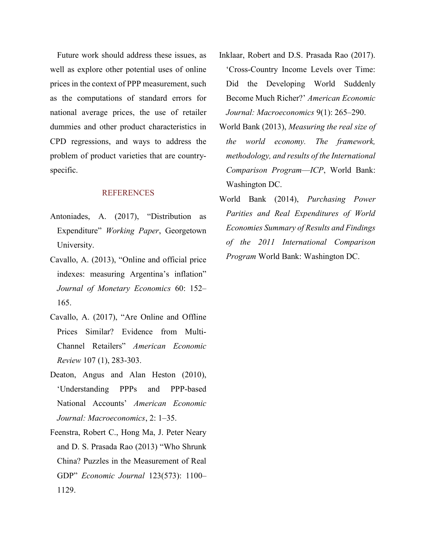Future work should address these issues, as well as explore other potential uses of online prices in the context of PPP measurement, such as the computations of standard errors for national average prices, the use of retailer dummies and other product characteristics in CPD regressions, and ways to address the problem of product varieties that are countryspecific.

# **REFERENCES**

- Antoniades, A. (2017), "Distribution as Expenditure" Working Paper, Georgetown University.
- Cavallo, A. (2013), "Online and official price indexes: measuring Argentina's inflation" Journal of Monetary Economics 60: 152– 165.
- Cavallo, A. (2017), "Are Online and Offline Prices Similar? Evidence from Multi-Channel Retailers" American Economic Review 107 (1), 283-303.
- Deaton, Angus and Alan Heston (2010), 'Understanding PPPs and PPP-based National Accounts' American Economic Journal: Macroeconomics, 2: 1–35.
- Feenstra, Robert C., Hong Ma, J. Peter Neary and D. S. Prasada Rao (2013) "Who Shrunk China? Puzzles in the Measurement of Real GDP" Economic Journal 123(573): 1100– 1129.
- Inklaar, Robert and D.S. Prasada Rao (2017). 'Cross-Country Income Levels over Time: Did the Developing World Suddenly Become Much Richer?' American Economic Journal: Macroeconomics 9(1): 265–290.
- World Bank (2013), Measuring the real size of the world economy. The framework, methodology, and results of the International Comparison Program-ICP, World Bank: Washington DC.
- World Bank (2014), Purchasing Power Parities and Real Expenditures of World Economies Summary of Results and Findings of the 2011 International Comparison Program World Bank: Washington DC.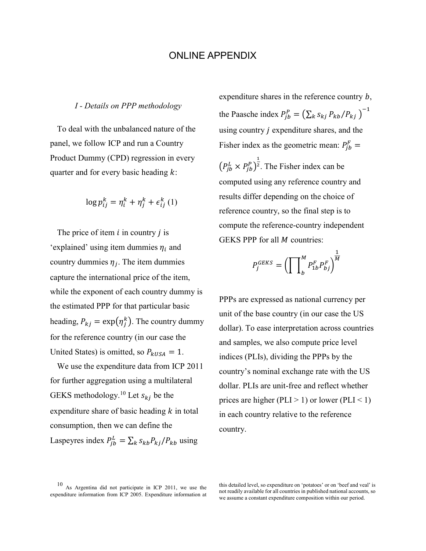# ONLINE APPENDIX

## I - Details on PPP methodology

To deal with the unbalanced nature of the panel, we follow ICP and run a Country Product Dummy (CPD) regression in every quarter and for every basic heading  $k$ :

$$
\log p_{ij}^k = \eta_i^k + \eta_j^k + \epsilon_{ij}^k \left( 1 \right)
$$

The price of item  $i$  in country  $j$  is 'explained' using item dummies  $\eta_i$  and country dummies  $\eta_j$ . The item dummies capture the international price of the item, while the exponent of each country dummy is the estimated PPP for that particular basic heading,  $P_{kj} = \exp(\eta_j^k)$ . The country dummy for the reference country (in our case the United States) is omitted, so  $P_{kUSA} = 1$ .

We use the expenditure data from ICP 2011 for further aggregation using a multilateral GEKS methodology.<sup>10</sup> Let  $s_{kj}$  be the expenditure share of basic heading  $k$  in total consumption, then we can define the Laspeyres index  $P_{jb}^L = \sum_k s_{kb} P_{kj} / P_{kb}$  using

expenditure shares in the reference country  $b$ , the Paasche index  $P_{jb}^P = (\sum_k s_{kj} P_{kb} / P_{kj})^{-1}$ using country  $j$  expenditure shares, and the Fisher index as the geometric mean:  $P_{jb}^F =$  $\left(P_{jb}^L \times P_{jb}^P\right)^2$ భ <sup>2</sup>. The Fisher index can be computed using any reference country and results differ depending on the choice of reference country, so the final step is to compute the reference-country independent GEKS PPP for all  $M$  countries:

$$
P_j^{GEKS} = \left(\prod\nolimits_b^M P_{1b}^F P_{bj}^F\right)^{\frac{1}{M}}
$$

PPPs are expressed as national currency per unit of the base country (in our case the US dollar). To ease interpretation across countries and samples, we also compute price level indices (PLIs), dividing the PPPs by the country's nominal exchange rate with the US dollar. PLIs are unit-free and reflect whether prices are higher (PLI  $> 1$ ) or lower (PLI  $< 1$ ) in each country relative to the reference country.

this detailed level, so expenditure on 'potatoes' or on 'beef and veal' is not readily available for all countries in published national accounts, so we assume a constant expenditure composition within our period.

<sup>10</sup> As Argentina did not participate in ICP 2011, we use the expenditure information from ICP 2005. Expenditure information at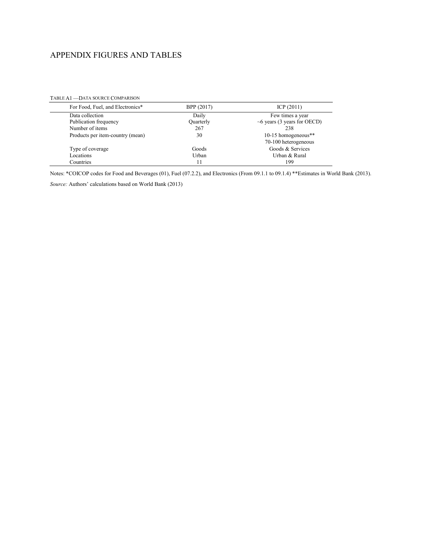# APPENDIX FIGURES AND TABLES

| For Food, Fuel, and Electronics* | BPP (2017) | ICP(2011)                         |
|----------------------------------|------------|-----------------------------------|
| Data collection                  | Daily      | Few times a year                  |
| Publication frequency            | Quarterly  | $\sim$ 6 years (3 years for OECD) |
| Number of items                  | 267        | 238                               |
| Products per item-country (mean) | 30         | 10-15 homogeneous**               |
|                                  |            | 70-100 heterogeneous              |
| Type of coverage                 | Goods      | Goods & Services                  |
| Locations                        | Urban      | Urban & Rural                     |
| Countries                        | 11         | 199                               |

TABLE A1 —DATA SOURCE COMPARISON

Notes: \*COICOP codes for Food and Beverages (01), Fuel (07.2.2), and Electronics (From 09.1.1 to 09.1.4) \*\*Estimates in World Bank (2013).

Source: Authors' calculations based on World Bank (2013)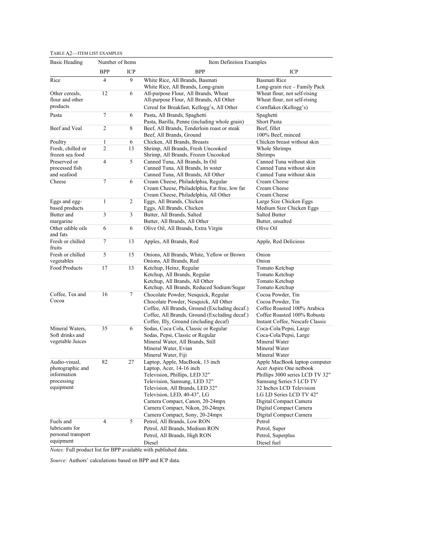#### TABLE A2—ITEM LIST EXAMPLES

| <b>Basic Heading</b>            | Number of Items |     | Item Definition Examples                                             |                                     |
|---------------------------------|-----------------|-----|----------------------------------------------------------------------|-------------------------------------|
|                                 | <b>BPP</b>      | ICP | <b>BPP</b>                                                           | <b>ICP</b>                          |
| Rice                            | 4               | 9   | White Rice, All Brands, Basmati                                      | Basmati Rice                        |
|                                 |                 |     | White Rice, All Brands, Long-grain                                   | Long-grain rice - Family Pack       |
| Other cereals,                  | 12              | 6   | All-purpose Flour, All Brands, Wheat                                 | Wheat flour, not self-rising        |
| flour and other                 |                 |     | All-purpose Flour, All Brands, All Other                             | Wheat flour, not self-rising        |
| products                        |                 |     | Cereal for Breakfast, Kellogg's, All Other                           | Cornflakes (Kellogg's)              |
| Pasta                           | 7               | 6   | Pasta, All Brands, Spaghetti                                         | Spaghetti                           |
|                                 |                 |     | Pasta, Barilla, Penne (including whole grain)                        | <b>Short Pasta</b>                  |
| Beef and Veal                   | 2               | 8   | Beef, All Brands, Tenderloin roast or steak                          | Beef, fillet                        |
|                                 |                 |     | Beef, All Brands, Ground                                             | 100% Beef, minced                   |
| Poultry                         | 1               | 6   | Chicken, All Brands, Breasts                                         | Chicken breast without skin         |
| Fresh, chilled or               | $\overline{2}$  | 13  | Shrimp, All Brands, Fresh Uncooked                                   | Whole Shrimps                       |
| frozen sea food<br>Preserved or | $\overline{4}$  | 5   | Shrimp, All Brands, Frozen Uncooked                                  | Shrimps<br>Canned Tuna without skin |
| processed fish                  |                 |     | Canned Tuna, All Brands, In Oil<br>Canned Tuna, All Brands, In water | Canned Tuna without skin            |
| and seafood                     |                 |     | Canned Tuna, All Brands, All Other                                   | Canned Tuna without skin            |
| Cheese                          | 7               | 6   | Cream Cheese, Philadelphia, Regular                                  | Cream Cheese                        |
|                                 |                 |     | Cream Cheese, Philadelphia, Fat free, low fat                        | Cream Cheese                        |
|                                 |                 |     | Cream Cheese, Philadelphia, All Other                                | Cream Cheese                        |
| Eggs and egg-                   | $\mathbf{1}$    | 2   | Eggs, All Brands, Chicken                                            | Large Size Chicken Eggs             |
| based products                  |                 |     | Eggs, All Brands, Chicken                                            | Medium Size Chicken Eggs            |
| Butter and                      | 3               | 3   | Butter, All Brands, Salted                                           | <b>Salted Butter</b>                |
| margarine                       |                 |     | Butter, All Brands, All Other                                        | Butter, unsalted                    |
| Other edible oils               | 6               | 6   | Olive Oil, All Brands, Extra Virgin                                  | Olive Oil                           |
| and fats                        |                 |     |                                                                      |                                     |
| Fresh or chilled                | 7               | 13  | Apples, All Brands, Red                                              | Apple, Red Delicious                |
| fruits                          |                 |     |                                                                      |                                     |
| Fresh or chilled                | 5               | 15  | Onions, All Brands, White, Yellow or Brown                           | Onion                               |
| vegetables                      |                 |     | Onions, All Brands, Red                                              | Onion                               |
| Food Products                   | 17              | 13  | Ketchup, Heinz, Regular                                              | Tomato Ketchup                      |
|                                 |                 |     | Ketchup, All Brands, Regular                                         | Tomato Ketchup                      |
|                                 |                 |     | Ketchup, All Brands, All Other                                       | Tomato Ketchup                      |
|                                 |                 |     | Ketchup, All Brands, Reduced Sodium/Sugar                            | Tomato Ketchup                      |
| Coffee, Tea and                 | 16              | 7   | Chocolate Powder, Nesquick, Regular                                  | Cocoa Powder, Tin                   |
| Cocoa                           |                 |     | Chocolate Powder, Nesquick, All Other                                | Cocoa Powder, Tin                   |
|                                 |                 |     | Coffee, All Brands, Ground (Excluding decaf.)                        | Coffee Roasted 100% Arabica         |
|                                 |                 |     | Coffee, All Brands, Ground (Excluding decaf.)                        | Coffee Roasted 100% Robusta         |
|                                 |                 |     | Coffee, Illy, Ground (including decaf)                               | Instant Coffee, Nescafe Classic     |
| Mineral Waters,                 | 35              | 6   | Sodas, Coca Cola, Classic or Regular                                 | Coca-Cola/Pepsi, Large              |
| Soft drinks and                 |                 |     | Sodas, Pepsi, Classic or Regular                                     | Coca-Cola/Pepsi, Large              |
| vegetable Juices                |                 |     | Mineral Water, All Brands, Still                                     | Mineral Water                       |
|                                 |                 |     | Mineral Water, Evian                                                 | Mineral Water                       |
|                                 |                 |     | Mineral Water, Fiji                                                  | Mineral Water                       |
| Audio-visual,                   | 82              | 27  | Laptop, Apple, MacBook, 13 inch                                      | Apple MacBook laptop computer       |
| photographic and                |                 |     | Laptop, Acer, 14-16 inch                                             | Acer Aspire One netbook             |
| information                     |                 |     | Television, Phillips, LED 32"                                        | Phillips 3000 series LCD TV 32"     |
| processing                      |                 |     | Television, Samsung, LED 32"                                         | Samsung Series 5 LCD TV             |
| equipment                       |                 |     | Television, All Brands, LED 32"                                      | 32 Inches LCD Television            |
|                                 |                 |     | Television, LED, 40-43", LG                                          | LG LD Series LCD TV 42"             |
|                                 |                 |     | Camera Compact, Canon, 20-24mpx                                      | Digital Compact Camera              |
|                                 |                 |     | Camera Compact, Nikon, 20-24mpx                                      | Digital Compact Camera              |
|                                 |                 |     | Camera Compact, Sony, 20-24mpx                                       | Digital Compact Camera              |
| Fuels and                       | 4               | 5   | Petrol, All Brands, Low RON                                          | Petrol                              |
| lubricants for                  |                 |     | Petrol, All Brands, Medium RON                                       | Petrol, Super                       |
| personal transport<br>equipment |                 |     | Petrol, All Brands, High RON                                         | Petrol, Superplus                   |
|                                 |                 |     | Diesel                                                               | Diesel fuel                         |

Notes: Full product list for BPP available with published data.

Source: Authors' calculations based on BPP and ICP data.